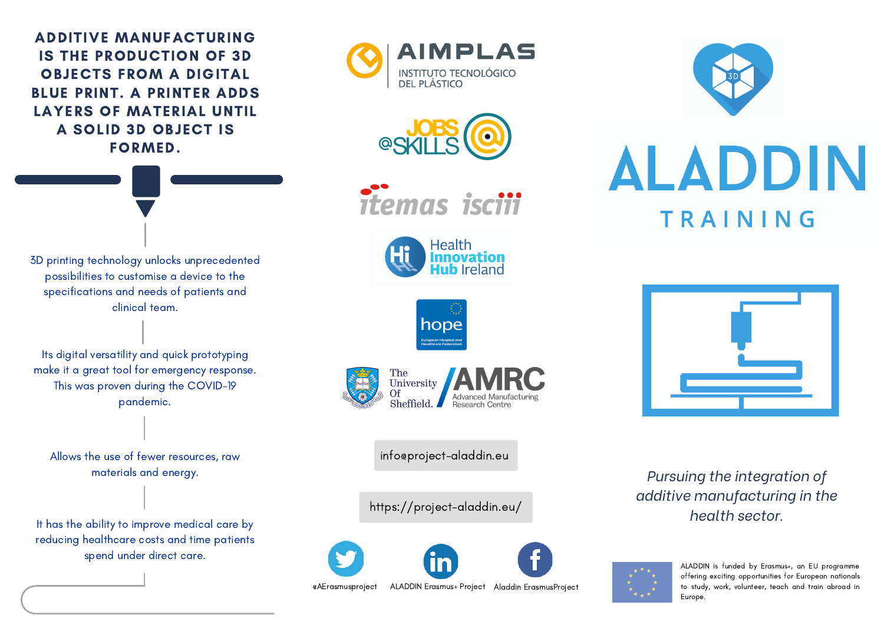ADDITIVE MANUFACTURING IS THE PRODUCTION OF 3D OBJECTS FROM A DIGITAL BLUE PRINT. A PRINTER ADDS LAYERS OF MATERIAL UNTIL A SOLID 3D OBJECT IS FORMED.

3D printing technology unlocks unprecedented possibilities to customise a device to the specifications and needs of patients and clinical team.

Its digital versatility and quick prototyping make it a great tool for emergency response. This was proven during the COVID-19 pandemic.

Allows the use of fewer resources, raw materials and energy.

It has the ability to improve medical care by reducing healthcare costs and time patients spend under direct care.













info@project-aladdin.eu

<https://project-aladdin.eu/>



[@AErasmusproject](https://twitter.com/AErasmusproject) ALADDIN [Erasmus+](https://www.linkedin.com/showcase/aladdin-erasmus-project-?trk=affiliated-pages_result-card_full-click) Project Aladdin [ErasmusProject](https://www.facebook.com/aladdin.erasmusproject)





*Pursuing the integration of additive manufacturing in the health sector.*



ALADDIN is funded by Erasmus+, an EU programme offering exciting opportunities for European nationals to study, work, volunteer, teach and train abroad in Europe.